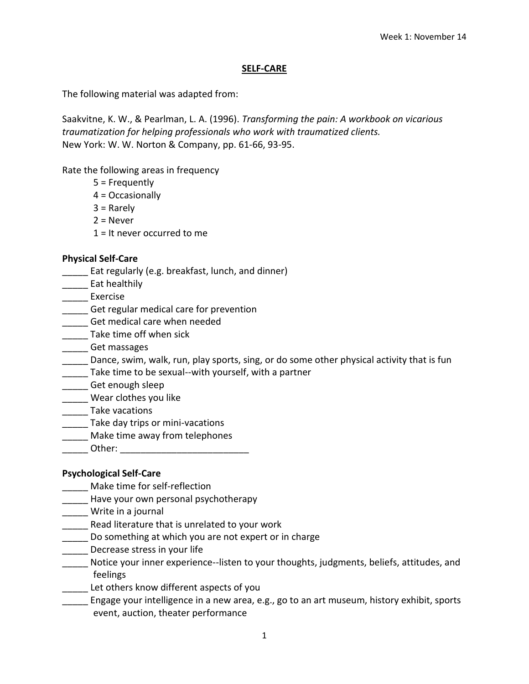### **SELF-CARE**

The following material was adapted from:

Saakvitne, K. W., & Pearlman, L. A. (1996). *Transforming the pain: A workbook on vicarious traumatization for helping professionals who work with traumatized clients.* New York: W. W. Norton & Company, pp. 61-66, 93-95.

Rate the following areas in frequency

- 5 = Frequently
- 4 = Occasionally
- 3 = Rarely
- $2$  = Never
- 1 = It never occurred to me

### **Physical Self-Care**

- \_\_\_\_\_ Eat regularly (e.g. breakfast, lunch, and dinner)
- \_\_\_\_\_ Eat healthily
- Exercise
- Get regular medical care for prevention
- Get medical care when needed
- \_\_\_\_\_\_ Take time off when sick
- \_\_\_\_\_ Get massages
- Dance, swim, walk, run, play sports, sing, or do some other physical activity that is fun
- Take time to be sexual--with yourself, with a partner
- \_\_\_\_\_ Get enough sleep
- \_\_\_\_\_ Wear clothes you like
- \_\_\_\_\_ Take vacations
- \_\_\_\_\_ Take day trips or mini-vacations
- \_\_\_\_\_ Make time away from telephones
- \_\_\_\_\_ Other: \_\_\_\_\_\_\_\_\_\_\_\_\_\_\_\_\_\_\_\_\_\_\_\_\_

## **Psychological Self-Care**

- \_\_\_\_\_ Make time for self-reflection
- Have your own personal psychotherapy
- \_\_\_\_\_ Write in a journal
- \_\_\_\_\_ Read literature that is unrelated to your work
- Do something at which you are not expert or in charge
- \_\_\_\_\_\_ Decrease stress in your life
- \_\_\_\_\_ Notice your inner experience--listen to your thoughts, judgments, beliefs, attitudes, and feelings
- \_\_\_\_\_ Let others know different aspects of you
- \_\_\_\_\_ Engage your intelligence in a new area, e.g., go to an art museum, history exhibit, sports event, auction, theater performance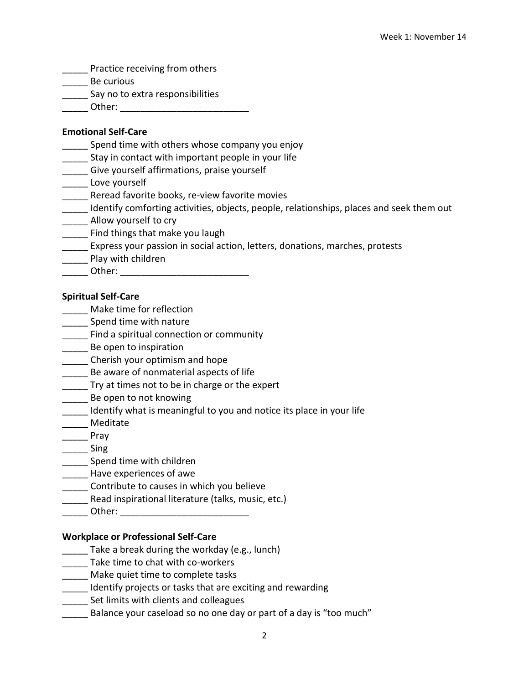- **\_\_\_\_\_** Practice receiving from others
- \_\_\_\_\_ Be curious
- **LETT** Say no to extra responsibilities
- \_\_\_\_\_ Other: \_\_\_\_\_\_\_\_\_\_\_\_\_\_\_\_\_\_\_\_\_\_\_\_\_

## **Emotional Self-Care**

- Spend time with others whose company you enjoy
- Stay in contact with important people in your life
- \_\_\_\_\_ Give yourself affirmations, praise yourself
- \_\_\_\_\_\_ Love yourself
- **\_\_\_\_\_** Reread favorite books, re-view favorite movies
- \_\_\_\_\_ Identify comforting activities, objects, people, relationships, places and seek them out
- \_\_\_\_\_ Allow yourself to cry
- \_\_\_\_\_ Find things that make you laugh
- **\_\_\_\_\_** Express your passion in social action, letters, donations, marches, protests
- Play with children
- \_\_\_\_\_ Other: \_\_\_\_\_\_\_\_\_\_\_\_\_\_\_\_\_\_\_\_\_\_\_\_\_

### **Spiritual Self-Care**

- \_\_\_\_\_ Make time for reflection
- \_\_\_\_\_ Spend time with nature
- **\_\_\_\_\_\_** Find a spiritual connection or community
- \_\_\_\_\_ Be open to inspiration
- **EXECUTE:** Cherish your optimism and hope
- \_\_\_\_\_ Be aware of nonmaterial aspects of life
- Try at times not to be in charge or the expert
- Be open to not knowing
- \_\_\_\_\_ Identify what is meaningful to you and notice its place in your life
- **Meditate**
- \_\_\_\_\_ Pray
- \_\_\_\_\_ Sing
- \_\_ Spend time with children
- \_\_\_\_\_\_ Have experiences of awe
- \_\_\_\_\_ Contribute to causes in which you believe
- Read inspirational literature (talks, music, etc.)
- $Other:$

## **Workplace or Professional Self-Care**

- \_\_\_\_\_ Take a break during the workday (e.g., lunch)
- \_\_\_\_\_ Take time to chat with co-workers
- \_\_\_\_\_ Make quiet time to complete tasks
- **\_\_\_\_\_** Identify projects or tasks that are exciting and rewarding
- **\_\_\_\_\_** Set limits with clients and colleagues
- Balance your caseload so no one day or part of a day is "too much"